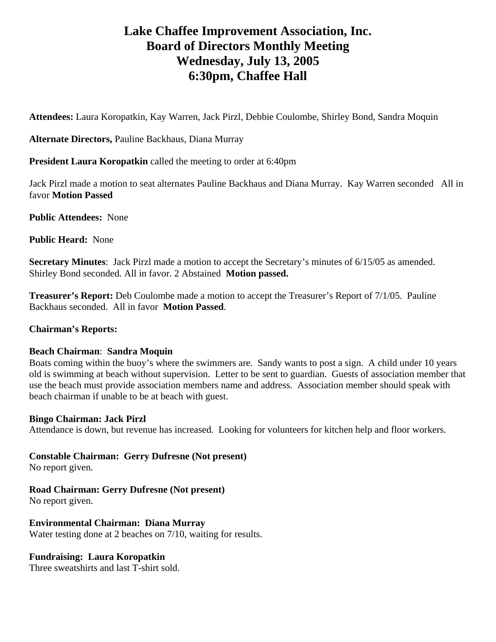# **Lake Chaffee Improvement Association, Inc. Board of Directors Monthly Meeting Wednesday, July 13, 2005 6:30pm, Chaffee Hall**

**Attendees:** Laura Koropatkin, Kay Warren, Jack Pirzl, Debbie Coulombe, Shirley Bond, Sandra Moquin

**Alternate Directors,** Pauline Backhaus, Diana Murray

**President Laura Koropatkin** called the meeting to order at 6:40pm

Jack Pirzl made a motion to seat alternates Pauline Backhaus and Diana Murray. Kay Warren seconded All in favor **Motion Passed**

**Public Attendees:** None

**Public Heard:** None

**Secretary Minutes**: Jack Pirzl made a motion to accept the Secretary's minutes of 6/15/05 as amended. Shirley Bond seconded. All in favor. 2 Abstained **Motion passed.** 

**Treasurer's Report:** Deb Coulombe made a motion to accept the Treasurer's Report of 7/1/05. Pauline Backhaus seconded. All in favor **Motion Passed**.

### **Chairman's Reports:**

### **Beach Chairman**: **Sandra Moquin**

Boats coming within the buoy's where the swimmers are. Sandy wants to post a sign. A child under 10 years old is swimming at beach without supervision. Letter to be sent to guardian. Guests of association member that use the beach must provide association members name and address. Association member should speak with beach chairman if unable to be at beach with guest.

### **Bingo Chairman: Jack Pirzl**

Attendance is down, but revenue has increased. Looking for volunteers for kitchen help and floor workers.

**Constable Chairman: Gerry Dufresne (Not present)** 

No report given.

**Road Chairman: Gerry Dufresne (Not present)** 

No report given.

**Environmental Chairman: Diana Murray** 

Water testing done at 2 beaches on 7/10, waiting for results.

# **Fundraising: Laura Koropatkin**

Three sweatshirts and last T-shirt sold.